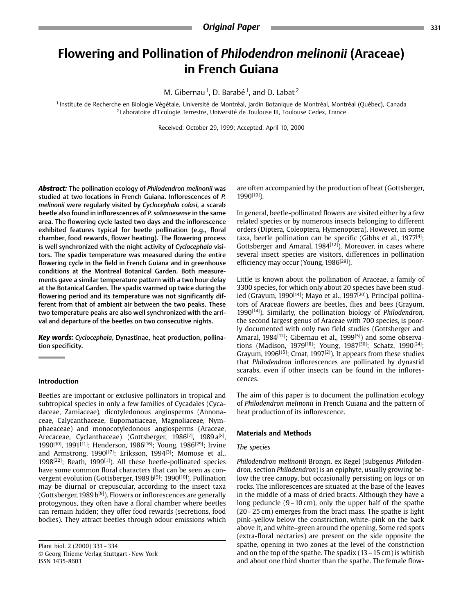# **Flowering and Pollination of** *Philodendron melinonii* **(Araceae) in French Guiana**

M. Gibernau 1, D. Barabé 1, and D. Labat <sup>2</sup>

<sup>1</sup> Institute de Recherche en Biologie Végétale, Université de Montréal, Jardin Botanique de Montréal, Montréal (Québec), Canada 2 Laboratoire d'Ecologie Terrestre, Université de Toulouse III, Toulouse Cedex, France

Received: October 29, 1999; Accepted: April 10, 2000

*Abstract:* The pollination ecology of *Philodendron melinonii* was melinonii were regularly visited by Cyclocephala colasi, a scarab **beetle also found in inflorescences of P. solimoesense in the same** area. The flowering cycle lasted two days and the inflorescence exhibited features typical for beetle pollination (e.g., floral chamber, food rewards, flower heating). The flowering process is well synchronized with the night activity of Cyclocephala visitors. The spadix temperature was measured during the entire flowering cycle in the field in French Guiana and in greenhouse conditions at the Montreal Botanical Garden. Both measurements gave a similar temperature pattern with a two hour delay at the Botanical Garden. The spadix warmed up twice during the flowering period and its temperature was not significantly different from that of ambient air between the two peaks. These two temperature peaks are also well synchronized with the arrithe temperature peaks are also transformation with the arri-<br>val and denatture of the heetles on two consecutive nights val and departure of the beetles on two consecutive nights.

*Key words: Cyclocephala*, Dynastinae, heat production, pollination specificity.

### **Introduction**

Beetles are important or exclusive pollinators in tropical and subtropical species in only a few families of Cycadales (Cycadaceae, Zamiaceae), dicotyledonous angiosperms (Annonaceae, Calycanthaceae, Eupomatiaceae, Magnoliaceae, Nymphaeaceae) and monocotyledonous angiosperms (Araceae, Arecaceae, Cyclanthaceae) (Gottsberger,  $1986^{[7]}$ ,  $1989a^{[8]}$ , 1990<sup>[10]</sup>, 1991<sup>[11]</sup>; Henderson, 1986<sup>[16]</sup>; Young, 1986<sup>[29]</sup>; Irvine and Armstrong, 1990<sup>[17]</sup>; Eriksson, 1994<sup>[3]</sup>; Momose et al., 1998 $[22]$ ; Beath, 1999 $[11]$ ). All these beetle-pollinated species have some common floral characters that can be seen as convergent evolution (Gottsberger, 1989 b<sup>[9]</sup>; 1990<sup>[10]</sup>). Pollination may be diurnal or crepuscular, according to the insect taxa (Gottsberger, 1989 b<sup>[9]</sup>). Flowers or inflorescences are generally protogynous, they often have a floral chamber where beetles can remain hidden; they offer food rewards (secretions, food can remain makein; they enterted remains (secretions, food  $\mathbf{b}$  at the state between the state below  $\mathbf{b}$ 

Plant biol. 2 (2000) 331 – 334<br>© Georg Thieme Verlag Stuttgart · New York ISSN 1435-8603

are often accompanied by the production of heat (Gottsberger,  $1990^{[10]}$ ).

In general, beetle-pollinated flowers are visited either by a few related species or by numerous insects belonging to different orders (Diptera, Coleoptera, Hymenoptera). However, in some taxa, beetle pollination can be specific (Gibbs et al.,  $1977^{[4]}$ ; Gottsberger and Amaral, 1984<sup>[12]</sup>). Moreover, in cases where several insect species are visitors, differences in pollination several insect species are visitors, differences in pollitancies in pollitancies.

Little is known about the pollination of Araceae, a family of 3300 species, for which only about 20 species have been studied (Grayum, 1990<sup>[14]</sup>; Mayo et al., 1997<sup>[20]</sup>). Principal pollinators of Araceae flowers are beetles, flies and bees (Grayum,  $1990^{[14]}$ ). Similarly, the pollination biology of *Philodendron*, the second largest genus of Araceae with 700 species, is poorly documented with only two field studies (Gottsberger and Amaral,  $1984^{[12]}$ ; Gibernau et al.,  $1999^{[5]}$ ) and some observations (Madison, 1979<sup>[18]</sup>; Young, 1987<sup>[30]</sup>; Schatz, 1990<sup>[24]</sup>; Grayum, 1996<sup>[15]</sup>; Croat, 1997<sup>[2]</sup>). It appears from these studies that Philodendron inflorescences are pollinated by dynastid scarabs, even if other insects can be found in the infloresscarabs, even if other insects can be found in the inflores-

The aim of this paper is to document the pollination ecology of *Philodendron melinonii* in French Guiana and the pattern of **pair is a production of its inflorescence** heat production of its inflorescence.

## *The species*

*Philodendron melinonii* Brongn. ex Regel (subgenus *Philoden*low the tree canopy, but occasionally persisting on logs or on rocks. The inflorescences are situated at the base of the leaves in the middle of a mass of dried bracts. Although they have a long peduncle  $(9 - 10 \text{ cm})$ , only the upper half of the spathe  $(20-25 \text{ cm})$  emerges from the bract mass. The spathe is light pink-yellow below the constriction, white-pink on the back above it, and white–green around the opening. Some red spots (extra-floral nectaries) are present on the side opposite the spathe, opening in two zones at the level of the constriction and on the top of the spathe. The spadix  $(13 - 15 \text{ cm})$  is whitish and about one third shorter than the spathe. The female flowand about  $\alpha$  and shorter than the spatial flow-spatial flow-spatial flow-spatial flow-spatial flow-spatial flow-spatial flow-spatial flow-spatial flow-spatial flow-spatial flow-spatial flow-spatial flow-spatial flow-spa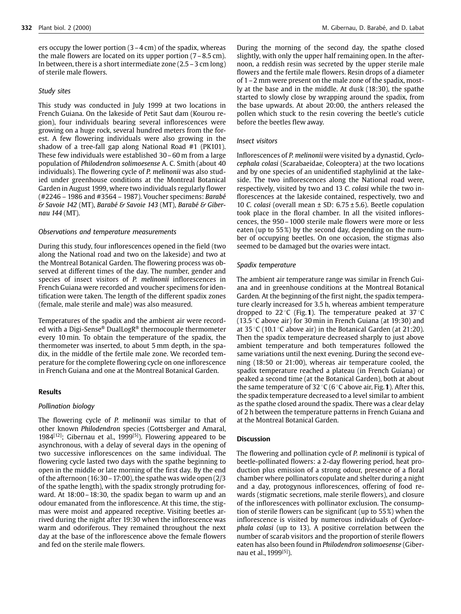ers occupy the lower portion  $(3-4 \text{ cm})$  of the spadix, whereas the male flowers are located on its upper portion  $(7-8.5 \text{ cm})$ . In between, there is a short intermediate zone  $(2.5 - 3 \text{ cm} \log)$ . of sterile male flowers.

## *Study sites*

This study was conducted in July 1999 at two locations in French Guiana. On the lakeside of Petit Saut dam (Kourou region), four individuals bearing several inflorescences were growing on a huge rock, several hundred meters from the forest. A few flowering individuals were also growing in the shadow of a tree-fall gap along National Road  $#1$  (PK101). These few individuals were established  $30 - 60$  m from a large population of Philodendron solimoesense A. C. Smith (about 40 individuals). The flowering cycle of *P. melinonii* was also studied under greenhouse conditions at the Montreal Botanical Garden in August 1999, where two individuals regularly flower  $#2246 - 1986$  and  $#3564 - 1987$ ). Voucher specimens: Barabé  $\&$  Savoie 142 (MT), Barabé & Savoie 143 (MT), Barabé & Giber-*& Savoie 142* (MT), *Barabé & Savoie 143* (MT), *Barabé & Gibernau 144* (MT).

## *Observations and temperature measurements*

During this study, four inflorescences opened in the field (two the Montreal Botanical Garden. The flowering process was observed at different times of the day. The number, gender and species of insect visitors of P. melinonii inflorescences in French Guiana were recorded and voucher specimens for identification were taken. The length of the different spadix zones  $\epsilon$  famale male sterile and male) was also measured (female, male sterile and male) was also measured.

Temperatures of the spadix and the ambient air were recorded with a Digi-Sense<sup>®</sup> DualLogR<sup>®</sup> thermocouple thermometer every 10 min. To obtain the temperature of the spadix, the thermometer was inserted, to about 5 mm depth, in the spadix, in the middle of the fertile male zone. We recorded temperature for the complete flowering cycle on one inflorescence perature for the complete flowering cycle on one inflorescence<br>in Franch Cuiana and one at the Montreal Rotanical Carden

### *Pollination biology*

The flowering cycle of *P. melinonii* was similar to that of 1984<sup>[12]</sup>; Gibernau et al., 1999<sup>[5]</sup>). Flowering appeared to be asynchronous, with a delay of several days in the opening of two successive inflorescences on the same individual. The flowering cycle lasted two days with the spathe beginning to open in the middle or late morning of the first day. By the end of the afternoon  $(16:30 - 17:00)$ , the spathe was wide open  $(2/3)$ of the spathe length), with the spadix strongly protruding forward. At  $18:00 - 18:30$ , the spadix began to warm up and an odour emanated from the inflorescence. At this time, the stigmas were moist and appeared receptive. Visiting beetles arrived during the night after 19:30 when the inflorescence was warm and odoriferous. They remained throughout the next day at the base of the inflorescence above the female flowers and fed on the sterile male flowers.

During the morning of the second day, the spathe closed slightly, with only the upper half remaining open. In the afternoon, a reddish resin was secreted by the upper sterile male flowers and the fertile male flowers. Resin drops of a diameter of  $1 - 2$  mm were present on the male zone of the spadix, mostly at the base and in the middle. At dusk (18:30), the spathe started to slowly close by wrapping around the spadix, from the base upwards. At about 20:00, the anthers released the pollen which stuck to the resin covering the beetle's cuticle  $\frac{1}{2}$  before the beetles flow which studies the resin covering the best cutted to the best cut before the beetles flew away.

Inflorescences of *P. melinonii* were visited by a dynastid, *Cyclo*and by one species of an unidentified staphylinid at the lakeside. The two inflorescences along the National road were, respectively, visited by two and 13 C. colasi while the two inflorescences at the lakeside contained, respectively, two and 10 C. colasi (overall mean  $\pm$  SD: 6.75  $\pm$  5.6). Beetle copulation took place in the floral chamber. In all the visited inflorescences, the 950 – 1000 sterile male flowers were more or less eaten (up to  $55\%$ ) by the second day, depending on the number of occupying beetles. On one occasion, the stigmas also  $\begin{bmatrix} 1 & 0 \\ 0 & 0 \end{bmatrix}$  of our order of our order of  $\begin{bmatrix} 0 & 0 \\ 0 & 0 \end{bmatrix}$ seemed to be damaged but the ovaries were intact.

## *Spadix temperature*

The ambient air temperature range was similar in French Guiana and in greenhouse conditions at the Montreal Botanical Garden. At the beginning of the first night, the spadix temperature clearly increased for 3.5 h, whereas ambient temperature dropped to 22 °C (Fig.1). The temperature peaked at 37 °C (13.5 °C above air) for 30 min in Franch Cuiana (at 19:30) and (13.5 $\degree$ C above air) for 30 min in French Guiana (at 19:30) and at 35 °C (10.1 °C above air) in the Botanical Garden (at 21:20).<br>Then the spadix temperature decreased sharply to just above ambient temperature and both temperatures followed the same variations until the next evening. During the second evening  $(18:50 \text{ or } 21:00)$ , whereas air temperature cooled, the spadix temperature reached a plateau (in French Guiana) or peaked a second time (at the Botanical Garden), both at about the same temperature of 32 °C (6 °C above air, Fig. 1). After this, the spacific temperature of 32 °C (6 °C above air, Fig. 1). After this, the spadix temperature decreased to a level similar to ambient as the spathe closed around the spadix. There was a clear delay of 2 h between the temperature patterns in French Guiana and at the Montreal Botanical Garden.

The flowering and pollination cycle of *P. melinonii* is typical of duction plus emission of a strong odour, presence of a floral chamber where pollinators copulate and shelter during a night and a day, protogynous inflorescences, offering of food rewards (stigmatic secretions, male sterile flowers), and closure of the inflorescences with pollinator exclusion. The consumption of sterile flowers can be significant (up to 55%) when the inflorescence is visited by numerous individuals of Cyclocephala colasi (up to 13). A positive correlation between the number of scarab visitors and the proportion of sterile flowers eaten has also been found in Philodendron solimoesense (Gibereaten has also been found in *Philodendron solimoesense* (Giber-nau et al., 1999[5]).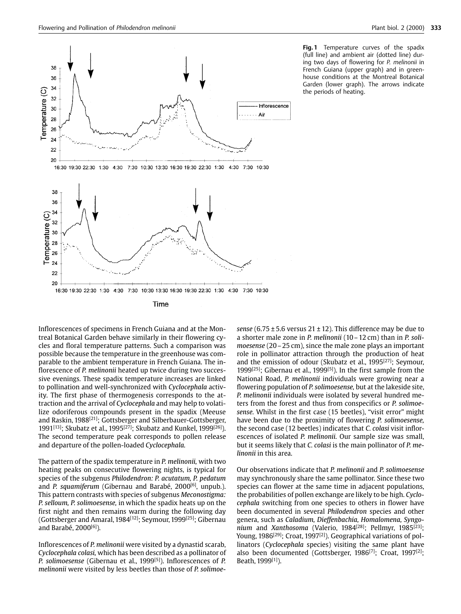

**Fig.1** Temperature curves of the spadix (full line) and ambient air (dotted line) during two days of flowering for P. melinonii in French Guiana (upper graph) and in greenhouse conditions at the Montreal Botanical Garden (lower graph). The arrows indicate  $\frac{1}{2}$  the periods of heating.

the periods of heating.

Inflorescences of specimens in French Guiana and at the Montreal Botanical Garden behave similarly in their flowering cycles and floral temperature patterns. Such a comparison was possible because the temperature in the greenhouse was comparable to the ambient temperature in French Guiana. The inflorescence of P. melinonii heated up twice during two successive evenings. These spadix temperature increases are linked to pollination and well-synchronized with Cyclocephala activity. The first phase of thermogenesis corresponds to the attraction and the arrival of Cyclocephala and may help to volatilize odoriferous compounds present in the spadix (Meeuse and Raskin, 1988<sup>[21]</sup>; Gottsberger and Silberbauer-Gottsberger, 1991<sup>[13]</sup>; Skubatz et al., 1995<sup>[27]</sup>; Skubatz and Kunkel, 1999<sup>[26]</sup>). The second temperature peak corresponds to pollen release and departure of the pollen-loaded Cyclocephala. and departure of the pollen-loaded *Cyclocephala.*

The pattern of the spadix temperature in *P. melinonii,* with two species of the subgenus Philodendron: P. acutatum, P. pedatum and *P. squamiferum* (Gibernau and Barabé, 2000<sup>[6]</sup>, unpub.). This pattern contrasts with species of subgenus Meconostigma: P. selloum, P. solimoesense, in which the spadix heats up on the first night and then remains warm during the following day (Gottsberger and Amaral, 1984<sup>[12]</sup>; Seymour, 1999<sup>[25]</sup>; Gibernau<br>and Barabé, 2000<sup>[6]</sup>) and Barabé, 2000[6]).

Inflorescences of *P. melinonii* were visited by a dynastid scarab, *P. solimoesense* (Gibernau et al., 1999<sup>[5]</sup>). Inflorescences of *P. P. solimoesense* (Gibernau et al., 1999[5]). Inflorescences of *P. melinonii* were visited by less beetles than those of *P. solimoe-* *sense* ( $6.75 \pm 5.6$  versus  $21 \pm 12$ ). This difference may be due to a shorter male zone in *P. melinonii* ( $10 - 12$  cm) than in *P. soli*moesense (20 – 25 cm), since the male zone plays an important role in pollinator attraction through the production of heat and the emission of odour (Skubatz et al., 1995<sup>[27]</sup>; Seymour, and the emission of odour (Skubatz et al., 1995<sup>[27]</sup>, Seymour,<br>1000<sup>[25]</sup> Cibernau et al. 1000<sup>[5]</sup>). In the first sample from the National Road, P. melinonii individuals were growing near a flowering population of *P. solimoesense*, but at the lakeside site, P. *melinonii* individuals were isolated by several hundred meters from the forest and thus from conspecifics or P. solimoesense. Whilst in the first case (15 beetles), "visit error" might have been due to the proximity of flowering P. solimoesense, the second case (12 beetles) indicates that *C. colasi* visit inflorescences of isolated *P. melinonii*. Our sample size was small, but it seems likely that *C. colasi* is the main pollinator of *P. melinonii* in this area.

Our observations indicate that *P. melinonii* and *P. solimoesense* species can flower at the same time in adjacent populations, the probabilities of pollen exchange are likely to be high. Cyclocephala switching from one species to others in flower have been documented in several *Philodendron* species and other genera, such as Caladium, Dieffenbachia, Homalomena, Syngonium and Xanthosoma (Valerio, 1984<sup>[28]</sup>; Pellmyr, 1985<sup>[23]</sup>; Young, 1986<sup>[29]</sup>; Croat, 1997<sup>[2]</sup>). Geographical variations of pollinators (Cyclocephala species) visiting the same plant have nisition (*Cyclocephala species)* visiting the same plant have also been documented (Gottsberger, 1986<sup>[7]</sup>; Croat, 1997<sup>[2]</sup>;<br>Reath 1999<sup>[1]</sup>) Beath, 1999[1]).